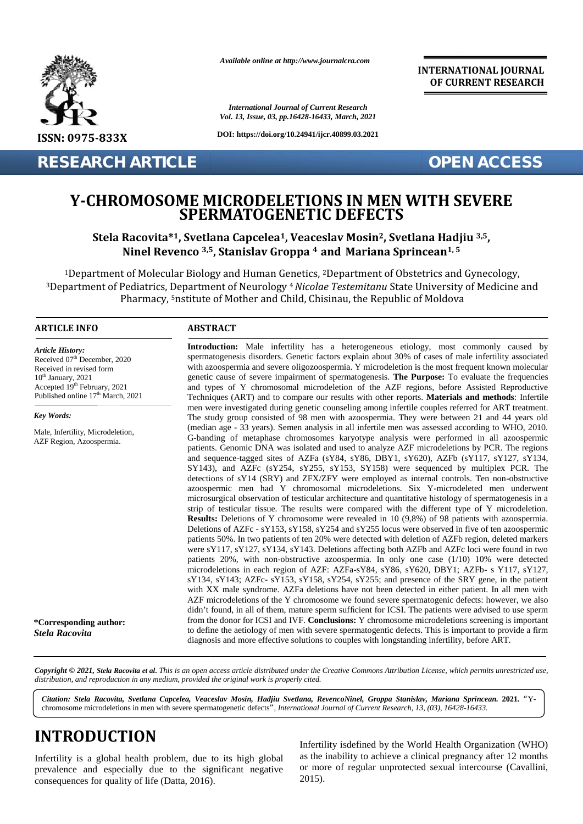

*Available online at http://www.journalcra.com*

*International Journal of Current Research Vol. 13, Issue, 03, pp.16428-16433, March, 2021*

**DOI: https://doi.org/10.24941/ijcr.40899.03.2021**

**INTERNATIONAL JOURNAL OF CURRENT RESEARCH**

**RESEARCH ARTICLE OPEN ACCESS**

#### **Y-CHROMOSOME MICRODELETIONS IN MEN WITH SEVERE SPERMATOGENETIC DEFECTS MICRODELETIONS**

**Stela Racovita\*1, Svetlana Capcelea1, Veaceslav Mosin2, Svetlana Hadjiu 3,5,** Racovita\*<sup>1</sup>, Svetlana Capcelea<sup>1</sup>, Veaceslav Mosin<sup>2</sup>, Svetlana Hadjiu <sup>3,5</sup>,<br>Ninel Revenco <sup>3,5</sup>, Stanislav Groppa <sup>4</sup> and Mariana Sprincean<sup>1, 5</sup>

<sup>1</sup>Department of Molecular Biology and Human Genetics, <sup>2</sup>Department of Obstetrics and Gynecology, <sup>3</sup>Department of Pediatrics, Department of Neurology <sup>4</sup>*Nicolae Testemitanu* State University of Medicine and Pharmacy, <sup>s</sup>nstitute of Mother and Child, Chisinau, the Republic of Moldova

#### **ARTICLE INFO ABSTRACT ARTICLE ABSTRACT**

*Article History: ArticleHistory:* $Received 07<sup>th</sup> December, 2020$ Received in revised form Received in revised form  $10^{\text{th}}$  January,  $2021$ Received in revised form<br>  $10^{\text{th}}$  January, 2021<br>
Accepted 19<sup>th</sup> February, 2021 Published online  $17<sup>th</sup>$  March, 2021

*Key Words: Key Words:*

 $\mathbf{E}$  Equation  $\mathbf{E}$  over  $\mathbf{E}$  over  $\mathbf{E}$  and  $\mathbf{E}$ Male, Infertility, Microdeletion,  $\triangle$ AZF Region, Azoospermia.

**\*Corresponding author:** *Stela Racovita*

Techniques (ART) and to compare our results with other reports. **Materials and methods**: Infertile men were investigated during genetic counseling among infertile couples referred for ART treatment. The study group consisted of 98 men with azoospermia. They were between 21 and 44 years old (median age - 33 years). Semen analysis in all infertile men was assessed according to WHO, 2010. G-banding of metaphase chromosomes karyotype analysis were performed in all azoospermic patients. Genomic DNA was isolated and used to analyze AZF microdeletions by PCR. The regions and sequence-tagged sites of AZFa (sY84, sY86, DBY1, sY620), AZFb (sY117, sY127, sY134, SY143), and AZFc (sY254, sY255, sY153, SY158) were sequenced by multiplex PCR. The detections of sY14 (SRY) and ZFX/ZFY were employed as internal controls. Ten non-obstructive azoospermic men had Y chromosomal microdeletions. Six Y-microdeleted men underwent microsurgical observation of testicular architecture and quantitative histology of spermatogenesis in a strip of testicular tissue. The results were compared with the different type of Y microdeletion. **Results:** Deletions of Y chromosome were revealed in 10 (9,8%) of 98 patients with azoospermia. Deletions of AZFc - sY153, sY158, sY254 and sY255 locus were observed in five of ten azoospermic patients 50%. In two patients of ten 20% were detected with deletion of AZFb region, deleted markers were sY117, sY127, sY134, sY143. Deletions affecting both AZFb and AZFc loci were found in two patients 20%, with non-obstructive azoospermia. In only one case (1/10) 10% were detected patients 20%, with non-obstructive azoospermia. In only one case (1/10) 10% were detected microdeletions in each region of AZF: AZFa-sY84, sY86, sY620, DBY1; AZFb- s Y117, sY127, sY134, sY143; AZFc- sY153, sY158, sY254, sY255; and presence of the SRY gene, in the patient with XX male syndrome. AZFa deletions have not been detected in either patient. In all men with sY134, sY143; AZFc- sY153, sY158, sY254, sY255; and presence of the SRY gene, in the patient with XX male syndrome. AZFa deletions have not been detected in either patient. In all men with AZF microdeletions of the Y chrom didn't found, in all of them, mature sperm sufficient for ICSI. The patients were advised to use sperm from the donor for ICSI and IVF. **Conclusions:** Y chromosome microdeletions screening is important from **Conclusions:**to define the aetiology of men with severe spermatogentic defects. This is important to provide a firm to define the aetiology of men with severe spermatogentic defects. This is important to provide diagnosis and more effective solutions to couples with longstanding infertility, before ART. **Introduction:** Male infertility has a heterogeneous etiology, most commonly caused by<br>spermatogenesis disorders. Genetic factors explain about 30% of cases of male infertility associated<br>with azoospermia and severe oligoz **Results:** Deletions of Y chromosome were revealed in 10 (9,8%) of 98 patients with azoospermia.<br>Deletions of AZFc - sY153, sY158, sY254 and sY255 locus were observed in five of ten azoospermic<br>patients 50%. In two patient **ISSN:** 1997-833X<br> **INFERIGUARE TRISK: CONSECTIONS IN MEN WITH SEVERE**<br> **INFERIGUARE TRISK: CONSECTIONS IN MEN WITH SEVERE**<br> **Y-CHROMOSOME MICROODELETIONS IN MEN WITH SEVERE**<br> **SEERARATOGENETIC DEFECTS**<br>
SEERARATOGENE **Current Current Current Current Current Current Current Current Current Current Current Current Current Current Current Current Current Current Current Current Current Current Current Current Current Current Current Curre** 

**Introduction:** Male infertility has a heterogeneous etiology, most commonly caused by spermatogenesis disorders. Genetic factors explain about 30% of cases of male infertility associated with azoospermia and severe oligozoospermia. Y microdeletion is the most frequent known molecular genetic cause of severe impairment of spermatogenesis. **The Purpose:** To evaluate the frequencies and types of Y chromosomal microdeletion of the AZF regions, before Assisted Reproductive

Copyright © 2021, Stela Racovita et al. This is an open access article distributed under the Creative Commons Attribution License, which permits unrestricted use, *distribution, and reproduction in any medium, provided the original work is properly cited. distribution,any*

n a chromosome microdeletions in men with severe spermatogenetic defects*", International Journal of Current Research, 13, (03), 16428-16433. Citation: Stela Racovita, Svetlana Capcelea, Veaceslav Mosin, Hadjiu Svetlana, RevencoNinel, Groppa Stanislav, Mariana Sprincean.* **2021***. "*Y- *Mariana*  Y-

# **INTRODUCTION INTRODUCTION**

Infertility is a global health problem, due to its high global prevalence and especially due to the significant negative consequences for quality of life (Datta, 2016).

Infertility isdefined by the World Health Organization (WHO) as the inability to achieve a clinical pregnancy after 12 months or more of regular unprotected sexual intercourse (Cavallini, 2015).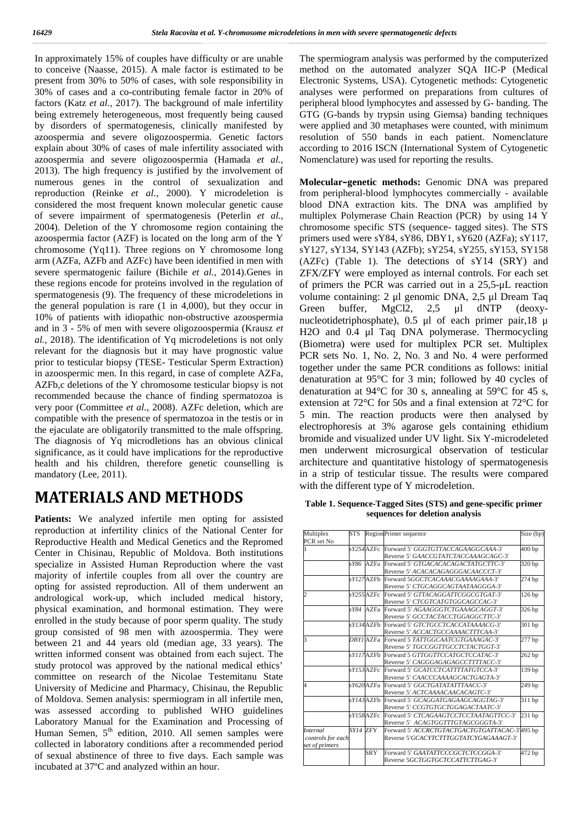In approximately 15% of couples have difficulty or are unable to conceive (Naasse, 2015). A male factor is estimated to be present from 30% to 50% of cases, with sole responsibility in 30% of cases and a co-contributing female factor in 20% of factors (Katz *et al.,* 2017). The background of male infertility being extremely heterogeneous, most frequently being caused by disorders of spermatogenesis, clinically manifested by azoospermia and severe oligozoospermia. Genetic factors explain about 30% of cases of male infertility associated with azoospermia and severe oligozoospermia (Hamada *et al.,* 2013). The high frequency is justified by the involvement of numerous genes in the control of sexualization and reproduction (Reinke *et al.,* 2000). Y microdeletion is considered the most frequent known molecular genetic cause of severe impairment of spermatogenesis (Peterlin *et al.,* 2004). Deletion of the Y chromosome region containing the azoospermia factor (AZF) is located on the long arm of the Y chromosome (Yq11). Three regions on Y chromosome long arm (AZFa, AZFb and AZFc) have been identified in men with severe spermatogenic failure (Bichile *et al.,* 2014).Genes in these regions encode for proteins involved in the regulation of spermatogenesis (9). The frequency of these microdeletions in the general population is rare (1 in 4,000), but they occur in Green 10% of patients with idiopathic non-obstructive azoospermia and in 3 - 5% of men with severe oligozoospermia (Krausz *et al.,* 2018). The identification of Yq microdeletions is not only relevant for the diagnosis but it may have prognostic value prior to testicular biopsy (TESE- Testicular Sperm Extraction) in azoospermic men. In this regard, in case of complete AZFa, AZFb,c deletions of the Y chromosome testicular biopsy is not recommended because the chance of finding spermatozoa is very poor (Committee *et al.,* 2008). AZFc deletion, which are compatible with the presence of spermatozoa in the testis or in the ejaculate are obligatorily transmitted to the male offspring. The diagnosis of Yq microdletions has an obvious clinical significance, as it could have implications for the reproductive health and his children, therefore genetic counselling is mandatory (Lee, 2011).

## **MATERIALS AND METHODS**

Patients: We analyzed infertile men opting for assisted reproduction at infertility clinics of the National Center for Reproductive Health and Medical Genetics and the Repromed Center in Chisinau, Republic of Moldova. Both institutions specialize in Assisted Human Reproduction where the vast majority of infertile couples from all over the country are opting for assisted reproduction. All of them underwent an andrological work-up, which included medical history, physical examination, and hormonal estimation. They were enrolled in the study because of poor sperm quality. The study group consisted of 98 men with azoospermia. They were between 21 and 44 years old (median age, 33 years). The written informed consent was obtained from each suject. The study protocol was approved by the national medical ethics' committee on research of the Nicolae Testemitanu State University of Medicine and Pharmacy, Chisinau, the Republic of Moldova. Semen analysis: spermiogram in all infertile men, was assessed according to published WHO guidelines Laboratory Manual for the Examination and Processing of Human Semen,  $5<sup>th</sup>$  edition, 2010. All semen samples were collected in laboratory conditions after a recommended period of sexual abstinence of three to five days. Each sample was incubated at 37ºC and analyzed within an hour.

The spermiogram analysis was performed by the computerized method on the automated analyzer SQA IIC-P (Medical Electronic Systems, USA). Cytogenetic methods: Cytogenetic analyses were performed on preparations from cultures of peripheral blood lymphocytes and assessed by G- banding. The GTG (G-bands by trypsin using Giemsa) banding techniques were applied and 30 metaphases were counted, with minimum resolution of 550 bands in each patient. Nomenclature according to 2016 ISCN (International System of Cytogenetic Nomenclature) was used for reporting the results.

**Molecular–genetic methods:** Genomic DNA was prepared from peripheral-blood lymphocytes commercially - available blood DNA extraction kits. The DNA was amplified by multiplex Polymerase Chain Reaction (PCR) by using 14 Y chromosome specific STS (sequence- tagged sites). The STS primers used were sY84, sY86, DBY1, sY620 (AZFa); sY117, sY127, sY134, SY143 (AZFb); sY254, sY255, sY153, SY158 (AZFc) (Table 1). The detections of sY14 (SRY) and ZFX/ZFY were employed as internal controls. For each set of primers the PCR was carried out in a 25,5-μL reaction volume containing: 2 μl genomic DNA, 2,5 μl Dream Taq buffer,  $MgCl2$ , 2,5 μl dNTP (deoxynucleotidetriphosphate), 0.5 μl of each primer pair,18 μ H2O and 0.4 μl Taq DNA polymerase. Thermocycling (Biometra) were used for multiplex PCR set. Multiplex PCR sets No. 1, No. 2, No. 3 and No. 4 were performed together under the same PCR conditions as follows: initial denaturation at 95°C for 3 min; followed by 40 cycles of denaturation at 94°C for 30 s, annealing at 59°C for 45 s, extension at 72°C for 50s and a final extension at 72°C for 5 min. The reaction products were then analysed by electrophoresis at 3% agarose gels containing ethidium bromide and visualized under UV light. Six Y-microdeleted men underwent microsurgical observation of testicular architecture and quantitative histology of spermatogenesis in a strip of testicular tissue. The results were compared with the different type of Y microdeletion.

**Table 1. Sequence-Tagged Sites (STS) and gene-specific primer sequences for deletion analysis**

| Multiplex<br>Region Primer sequence<br>STS |            | Size (bp)        |                                              |        |
|--------------------------------------------|------------|------------------|----------------------------------------------|--------|
| PCR set No                                 |            |                  |                                              |        |
| 1                                          |            | sY254AZFc        | Forward 5 GGGTGTTACCAGAAGGCAAA-3             | 400bp  |
|                                            |            |                  | Reverse 5 GAACCGTATCTACCAAAGCAGC-3           |        |
|                                            |            |                  | sY86 AZFa Forward 5 GTGACACACAGACTATGCTTC-3  | 320 bp |
|                                            |            |                  | Reverse 5 ACACACAGAGGGACAACCCT-3             |        |
|                                            |            | sY127AZFb        | Forward 5GGCTCACAAACGAAAAGAAA-3              | 274 bp |
|                                            |            |                  | Reverse 5 CTGCAGGCAGTAATAAGGGA-3             |        |
| $\overline{2}$                             |            | sY255AZFc        | Forward 5 GTTACAGGATTCGGCGTGAT-3             | 126 bp |
|                                            |            |                  | Reverse 5 CTCGTCATGTGGCAGCCAC-3              |        |
|                                            |            | sY84 AZFa        | Forward 5 AGAAGGGTCTGAAAGCAGGT-3             | 326 bp |
|                                            |            |                  | Reverse 5 GCCTACTACCTGGAGGCTTC-3             |        |
|                                            |            | sY134 AZFb       | Forward 5 GTCTGCCTCACCATAAAACG-3             | 301 bp |
|                                            |            |                  | Reverse 5 ACCACTGCCAAAACTTTCAA-3             |        |
| k                                          |            | <b>DBYI</b> AZFa | Forward 5 TATTGGCAATCGTGAAAGAC-3             | 277 bp |
|                                            |            |                  | Reverse 5 TGCCGGTTGCCTCTACTGGT-3             |        |
|                                            |            | sY117AZFb        | Forward 5 GTTGGTTCCATGCTCCATAC-3             | 262 bp |
|                                            |            |                  | Reverse 5 CAGGGAGAGAGCCTTTTACC-3             |        |
|                                            |            | sY153AZFc        | Forward 5 GCATCCTCATTTTATGTCCA-3             | 139 bp |
|                                            |            |                  | Reverse 5 CAACCCAAAAGCACTGAGTA-3             |        |
| $\overline{4}$                             |            | sY620AZFa        | Forward 5 GGCTGATATATTTAACC-3                | 249 bp |
|                                            |            |                  | Reverse 5 ACTCAAAACAACACAGTC-3               |        |
|                                            |            | $sY143$ AZFb     | Forward 5 GCAGGATGAGAAGCAGGTAG-3             | 311 bp |
|                                            |            |                  | Reverse 5 CCGTGTGCTGGAGACTAATC-3             |        |
|                                            |            | sY158AZFc        | Forward 5 CTCAGAAGTCCTCCTAATAGTTCC-3         | 231 bp |
|                                            |            |                  | Reverse 5 ACAGTGGTTTGTAGCGGGTA-3             |        |
| <b>Internal</b>                            | $SYI4$ ZFY |                  | Forward 5 ACCRCTGTACTGACTGTGATTACAC-3 495 bp |        |
| controls for each                          |            |                  | Reverse 5 GCACYTCTTTGGTATCYGAGAAAGT-3        |        |
| set of primers                             |            |                  |                                              |        |
|                                            |            | <b>SRY</b>       | Forward 5 GAATATTCCCGCTCTCCGGA-3             | 472 bp |
|                                            |            |                  | Reverse 5GCTGGTGCTCCATTCTTGAG-3              |        |
|                                            |            |                  |                                              |        |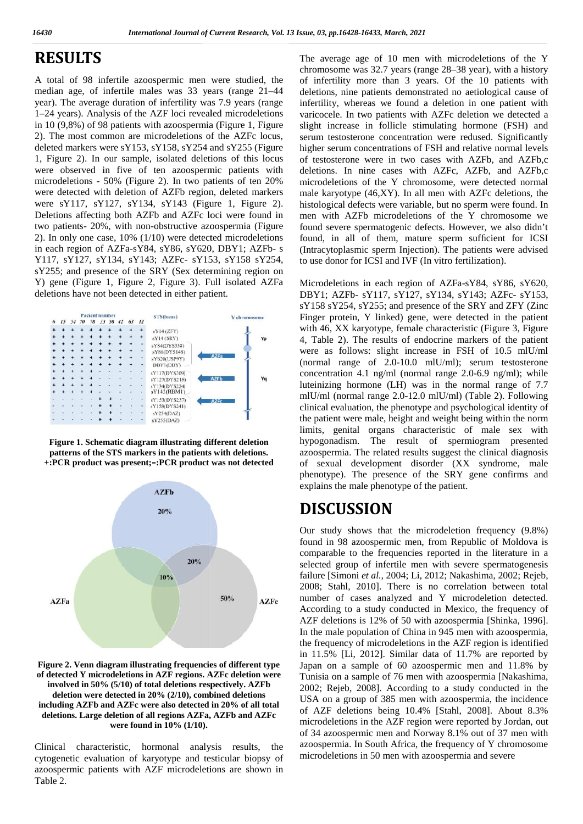## **RESULTS RESULTS**

A total of 98 infertile azoospermic men were studied, the median age, of infertile males was 33 years (range 21–44 year). The average duration of infertility was 7.9 years (range 1–24 years). Analysis of the AZF loci revealed microdeletions in 10 (9,8%) of 98 patients with azoospermia (Figure 1, Figure 2). The most common are microdeletions of the AZFc locus, deleted markers were sY153, sY158, sY254 and sY255 (Figure 1, Figure 2). In our sample, isolated deletions of this locus were observed in five of ten azoospermic patients with microdeletions - 50% (Figure 2). In two patients of ten 20% were detected with deletion of AZFb region, deleted markers were sY117, sY127, sY134, sY143 (Figure 1, Figure 2). Deletions affecting both AZFb and AZFc loci were found in two patients- 20%, with non-obstructive azoospermia (Figure 2). In only one case, 10% (1/10) were detected microdeletions in each region of AZFa-sY84, sY86, sY620, DBY1; AZFb- s (In Y117, sY127, sY134, sY143; AZFc- sY153, sY158 sY254, to sY255; and presence of the SRY (Sex determining region on Y) gene (Figure 1, Figure 2, Figure 3). Full iso Y117, sY127, sY134, sY143; AZFc- sY153, sY158 sY254, sY255; and presence of the SRY (Sex determining region on Y) gene (Figure 1, Figure 2, Figure 3). Full isolated AZFa deletions have not been detected in either patient. A total of 98 infertile azoospermic men were studied, the of median age, of infertile males was 33 years (range 21–44 dele year). The average duration of infertility was 7.9 years (range infe 1–24 years). Analysis of the AZF loci revealed microdeletions<br>in 10 (9,8%) of 98 patients with azoospermia (Figure 1, Figure<br>2). The most common are microdeletions of the AZFc locus,<br>deleted markers were sY153, sY158, sY25 Deletions affecting both AZFb and AZFc loci were found in me<br>two patients- 20%, with non-obstructive azoospermia (Figure for<br>2). In only one case, 10% (1/10) were detected microdeletions for The most common<br>leted markers were s'<br>Figure 2). In our sa<br>re observed in fiv<br>crodeletions - 50% (<br>re detected with del-<br>re sY117, sY127,<br>letions affecting bot<br>patients - 20%, with only one case, 10<br>each region of AZFa



**Figure 1. Schematic diagram illustrating different deletion** patterns of the STS markers in the patients with deletions. **+:PCR product was present;–:PCR product was not detected**



**Figure 2. Venn diagram illustrating frequencies of different type of detected Y microdeletions in AZF regions. AZFc deletion were involved in 50% (5/10) of total deletions respectively. AZFb deletion were detected in 20% (2/10), combined deletions including AZFb and AZFc were also detected in 20% of all total deletions. Large deletion of all regions AZFa, AZFb and AZFc were found in 10% (1/10).** deletion were detected i<br>uding AZFb and AZFc<br>etions. Large deletion o<br>were fou

Clinical characteristic, hormonal analysis results, the cytogenetic evaluation of karyotype and testicular biopsy of azoospermic patients with AZF microdeletions are shown in Table 2.

The average age of 10 men with microdeletions of the Y chromosome was 32.7 years (range 28–38 year), with a history of infertility more than 3 years. Of the 10 patients with deletions, nine patients demonstrated no aetiological cause of infertility, whereas we found a deletion in one patient with varicocele. In two patients with AZFc deletion we detected a slight increase in follicle stimulating hormone (FSH) and serum testosterone concentration were redused. Significantly higher serum concentrations of FSH and relative normal levels of testosterone were in two cases with AZFb, and AZFb,c deletions. In nine cases with AZFc, AZFb, and AZFb,c microdeletions of the Y chromosome, were detected normal male karyotype (46,XY). In all men with AZFc deletions, the histological defects were variable, but no sperm were found. In men with AZFb microdeletions of the Y chromosome we found severe spermatogenic defects. However, we also didn't found, in all of them, mature sperm sufficient for ICSI (Intracytoplasmic sperm Injection). The patients were advised to use donor for ICSI and IVF (In vitro fertilization). The average age of 10 men with<br>
estudied, the of infertility more than 3 years (range 21–44<br>
of infertility, whereas we found a year.<br>
(range 21–44<br>
deletions, nine patients demonstration<br>
incrodeletions varicocele. In two

Microdeletions in each region of AZFa-sY84, sY86, sY620, DBY1; AZFb- sY117, sY127, sY134, sY143; AZFc- sY153, sY158 sY254, sY255; and presence of the SRY and ZFY (Zinc Finger protein, Y linked) gene, were detected in the patient with 46, XX karyotype, female characteristic (Figure 3, Figure 4, Table 2). The results of endocrine markers of the patient were as follows: slight increase in FSH of 10.5 mlU/ml (normal range of 2.0-10.0 mlU/ml); serum testosterone concentration 4.1 ng/ml (normal range 2.0-6.9 ng/ml); while luteinizing hormone (LH) was in the normal range of 7.7 mlU/ml (normal range 2.0-12.0 mlU/ml) (Table 2). Following clinical evaluation, the phenotype and psychological identity of the patient were male, height and weight being within the norm limits, genital organs characteristic of male sex with hypogonadism. The result of spermiogram presented azoospermia. The related results suggest the clinical diagnosis of sexual development disorder (XX syndrome, male phenotype). The presence of the SRY gene confirms and explains the male phenotype of the patient.

### **DISCUSSION**

Our study shows that the microdeletion frequency (9.8%) found in 98 azoospermic men, from Republic of Moldova is comparable to the frequencies reported in the literature in a selected group of infertile men with severe spermatogenesis failure [Simoni *et al.,* 2004; Li, 2012; Nakashima, 2002; Rejeb, 2008; Stahl, 2010]. There is no correlation between total number of cases analyzed and Y microdeletion detected. According to a study conducted in Mexico, the frequency of AZF deletions is 12% of 50 with azoospermia [Shinka, 1996]. In the male population of China in 945 men with azoospermia, the frequency of microdeletions in the AZF region is identified in 11.5% [Li, 2012]. Similar data of 11.7% are reported by in 11.5% [Li, 2012]. Similar data of 11.7% are reported by<br>Japan on a sample of 60 azoospermic men and 11.8% by Tunisia on a sample of 76 men with azoospermia [Nakashima, 2002; Rejeb, 2008]. According to a study conducted in the USA on a group of 385 men with azoospermia, the incidence of AZF deletions being 10.4% [Stahl, 2008]. About 8.3% microdeletions in the AZF region were reported by Jordan, out of 34 azoospermic men and Norway 8.1% out of 37 men with azoospermia. In South Africa, the frequency of Y chromosome microdeletions in 50 men with azoospermia and severe **ALCOLLE SE INTEREST (EVAPORT SE PRODUCED EN CONTRACTE EN CONTRACTE EN CONTRACTE EN CONTRACTE EN CONTRACTE EN CONTRACTE EN CONTRACTE EN CONTRACTE EN CONTRACTE EN CONTRACTE EN CONTRACTE EN CONTRACTE EN CONTRACTE EN CONTRAC** 2002; Rejeb, 2008]. According to a study conducted in the USA on a group of 385 men with azoospermia, the incidence of AZF deletions being 10.4% [Stahl, 2008]. About 8.3% microdeletions in the AZF region were reported by J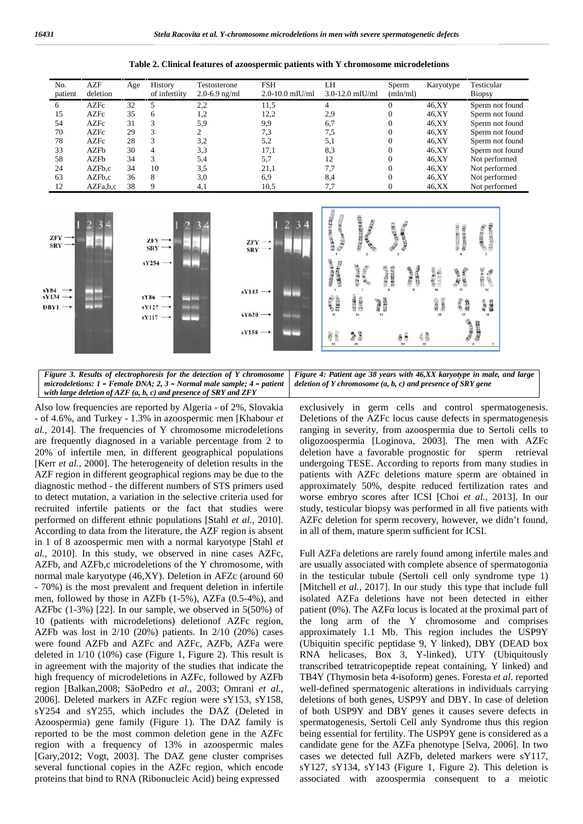**Table 2. Clinical features of azoospermic patients with Y chromosome microdeletions**

| No.<br>patient | AZF<br>deletion | Age | History<br>of infertiity | Testosterone<br>2.0-6.9 ng/ml | <b>FSH</b><br>$2.0 - 10.0$ mIU/ml | LH<br>$3.0 - 12.0$ mIU/ml | Sperm<br>(mln/ml) | Karyotype | Testicular<br><b>Biopsy</b> |
|----------------|-----------------|-----|--------------------------|-------------------------------|-----------------------------------|---------------------------|-------------------|-----------|-----------------------------|
| 6              | AZFc            | 32  |                          | 2,2                           | 11,5                              |                           | $\Omega$          | 46.XY     | Sperm not found             |
| 15             | <b>AZFc</b>     | 35  | 6                        | 1,2                           | 12,2                              | 2.9                       | $\Omega$          | 46,XY     | Sperm not found             |
| 54             | <b>AZFc</b>     | 31  |                          | 5,9                           | 9,9                               | 6,7                       |                   | 46,XY     | Sperm not found             |
| 70             | <b>AZFc</b>     | 29  |                          |                               | 7,3                               | 7,5                       |                   | 46.XY     | Sperm not found             |
| 78             | <b>AZFc</b>     | 28  |                          | 3,2                           | 5,2                               | 5,1                       |                   | 46,XY     | Sperm not found             |
| 33             | <b>AZFb</b>     | 30  | 4                        | 3,3                           | 17,1                              | 8.3                       |                   | 46.XY     | Sperm not found             |
| 58             | AZFb            | 34  |                          | 5,4                           | 5,7                               | 12                        |                   | 46.XY     | Not performed               |
| 24             | AZFb.c          | 34  | 10                       | 3,5                           | 21,1                              | 7.7                       | $\Omega$          | 46.XY     | Not performed               |
| 63             | AZFb,c          | 36  | 8                        | 3,0                           | 6,9                               | 8,4                       | $\Omega$          | 46,XY     | Not performed               |
| 12             | AZFa,b,c        | 38  |                          | 4,1                           | 10,5                              | 7.7                       |                   | 46, XX    | Not performed               |



*Figure 3. Results of electrophoresis for the detection of Y chromosome* | Figu *microdeletions: 1 – Female DNA; 2, 3 – Normal male sample; 4 – patient –with large deletion of AZF (a, b, c) and presence of SRY and ZFY*

Also low frequencies are reported by Algeria - of 2%, Slovakia excl<br>- of 4.6%, and Turkey - 1.3% in azoospermic men [Khabour *et* Del - of 4.6%, and Turkey - 1.3% in azoospermic men [Khabour *et al.,* 2014]. The frequencies of Y chromosome microdeletions are frequently diagnosed in a variable percentage from 2 to 20% of infertile men, in different geographical populations [Kerr *et al.,* 2000]. The heterogeneity of deletion results in the AZF region in different geographical regions may be due to the AZF diagnostic method - the different numbers of STS primers used to detect mutation, a variation in the selective criteria used for recruited infertile patients or the fact that studies were performed on different ethnic populations [Stahl *et al.,* 2010]. According to data from the literature, the AZF region is absent in 1 of 8 azoospermic men with a normal karyotype [Stahl *et al.*, 2010]. In this study, we observed in nine cases AZFc, AZFb, and AZFb,c microdeletions of the Y chromosome, with normal male karyotype (46,XY). Deletion in AFZc (around 60 - 70%) is the most prevalent and frequent deletion in infertile men, followed by those in AZFb (1-5%), AZFa (0.5-4%), and AZFbc (1-3%) [22]. In our sample, we observed in 5(50%) of 10 (patients with microdeletions) deletionof AZFc region, AZFb was lost in 2/10 (20%) patients. In 2/10 (20%) cases were found AZFb and AZFc and AZFc, AZFb, AZFa were deleted in 1/10 (10%) case (Figure 1, Figure 2). This result is in agreement with the majority of the studies that indicate the high frequency of microdeletions in AZFc, followed by AZFb region [Balkan,2008; SãoPedro *et al.,* 2003; Omrani *et al.,* 2006]. Deleted markers in AZFc region were sY153, sY158, sY254 and sY255, which includes the DAZ (Deleted in Azoospermia) gene family (Figure 1). The DAZ family is reported to be the most common deletion gene in the AZFc region with a frequency of 13% in azoospermic males [Gary,2012; Vogt, 2003]. The DAZ gene cluster comprises several functional copies in the AZFc region, which encode proteins that bind to RNA (Ribonucleic Acid) being expressed *al.*, 2014]. The frequencies of Y chromosome microdeletions rang are frequently diagnosed in a variable percentage from 2 to olig 20% of infertile men, in different geographical populations deletion results in the und [Ke diagnostic method - the different numbers of STS primers used<br>to detect mutation, a variation in the selective criteria used for<br>recruited infertile patients or the fact that studies were<br>performed on different ethnic popu AZFb, and AZFb,c microdeletions of the Y chromosome, with<br>normal male karyotype (46,XY). Deletion in AFZc (around 60<br>- 70%) is the most prevalent and frequent deletion in infertile<br>men, followed by those in AZFb (1-5%), AZ 20.2014). The frequencies of Y chromosome mirrodelesions ranging in severity, from aconogermia de us Seroli cells to NET and NET and NET and NET and NET and NET and NET and NET and NET and NET and NET and NET and NET and

exclusively in germ cells and control spermatogenesis. Deletions of the AZFc locus cause defects in spermatogenesis ranging in severity, from azoospermia due to Sertoli cells to oligozoospermia [Loginova, 2003]. The men with AZFc deletion have a favorable prognostic for sperm retrieval undergoing TESE. According to reports from many studies in patients with AZFc deletions mature sperm are obtained in approximately 50%, despite reduced fertilization rates and worse embryo scores after ICSI [Choi *et al.,* 2013]. In our study, testicular biopsy was performed in all five patients with AZFc deletion for sperm recovery, however, we didn't found, in all of them, mature sperm sufficient for ICSI. *I* – Female DNA; 2, 3 – Normal male sample; 4 – patient deletion of Y chromosome (a, b, c) and presence of SRY gene on of AZF (a, b, c) and presence of SRY and ZF (a, b, c) and presence of SRY and  $ZFT$  (a, b, c) and pres

*Figure 4: Patient age 38 years with 46,XX karyotype in male, and large*

*deletion of Y chromosome (a, b, c) and presence of SRY gene*

Full AZFa deletions are rarely found among infertile males and are usually associated with complete absence of spermatogonia in the testicular tubule (Sertoli cell only syndrome type 1) [Mitchell *et al.,* 2017]. In our study this type that include full isolated AZFa deletions have not been detected in either patient  $(0\%)$ . The AZF locus is located at the proximal part of the long arm of the Y chromosome and comprises approximately 1.1 Mb. This region includes the USP9Y (Ubiquitin specific peptidase 9, Y linked), DBY (DEAD box RNA helicases, Box 3, Y-linked), UTY (Ubiquitously transcribed tetratricopeptide repeat containing, Y linked) and TB4Y (Thymosin beta 4-isoform) genes. Foresta *et al*. reported well-defined spermatogenic alterations in individuals carrying deletions of both genes, USP9Y and DBY. In case of deletion of both USP9Y and DBY genes it causes severe defects in spermatogenesis, Sertoli Cell anly Syndrome thus this region being essential for fertility. The USP9Y gene is considered as a candidate gene for the AZFa phenotype [Selva, 2006]. In two cases we detected full AZFb, deleted markers were sY117, sY127, sY134, sY143 (Figure 1, Figure 2). This deletion is associated with azoospermia consequent to a meiotic RNA helicases, Box 3, Y-linked), UTY (Ubiquitously transcribed tetratricopeptide repeat containing, Y linked) and TB4Y (Thymosin beta 4-isoform) genes. Foresta *et al*. reported well-defined spermatogenic alterations in in **EXERCIST (EXERCISE PHENOT AND CONSERVATION CONSERVATION CONSERVATION CONSERVATION CONSERVATION CONSERVATION CONSERVATION CONSERVATION CONSERVATION CONSERVATION CONSERVATION CONSERVATION CONSERVATION CONSERVATION CONSERVAT**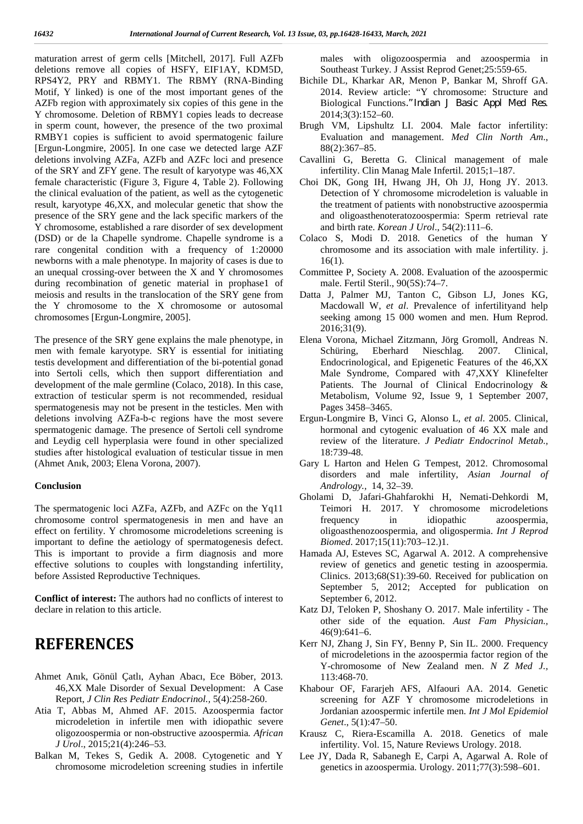maturation arrest of germ cells [Mitchell, 2017]. Full AZFb deletions remove all copies of HSFY, EIF1AY, KDM5D, RPS4Y2, PRY and RBMY1. The RBMY (RNA-Binding Motif, Y linked) is one of the most important genes of the AZFb region with approximately six copies of this gene in the Y chromosome. Deletion of RBMY1 copies leads to decrease in sperm count, however, the presence of the two proximal RMBY1 copies is sufficient to avoid spermatogenic failure [Ergun-Longmire, 2005]. In one case we detected large AZF deletions involving AZFa, AZFb and AZFc loci and presence of the SRY and ZFY gene. The result of karyotype was 46,XX female characteristic (Figure 3, Figure 4, Table 2). Following the clinical evaluation of the patient, as well as the cytogenetic result, karyotype 46,XX, and molecular genetic that show the presence of the SRY gene and the lack specific markers of the Y chromosome, established a rare disorder of sex development (DSD) or de la Chapelle syndrome. Chapelle syndrome is a rare congenital condition with a frequency of 1:20000 newborns with a male phenotype. In majority of cases is due to an unequal crossing-over between the X and Y chromosomes during recombination of genetic material in prophase1 of meiosis and results in the translocation of the SRY gene from the Y chromosome to the X chromosome or autosomal chromosomes [Ergun-Longmire, 2005].

The presence of the SRY gene explains the male phenotype, in men with female karyotype. SRY is essential for initiating testis development and differentiation of the bi-potential gonad into Sertoli cells, which then support differentiation and development of the male germline (Colaco, 2018). In this case, extraction of testicular sperm is not recommended, residual spermatogenesis may not be present in the testicles. Men with deletions involving AZFa-b-c regions have the most severe spermatogenic damage. The presence of Sertoli cell syndrome and Leydig cell hyperplasia were found in other specialized studies after histological evaluation of testicular tissue in men (Ahmet Anık, 2003; Elena Vorona, 2007).

### **Conclusion**

The spermatogenic loci AZFa, AZFb, and AZFc on the Yq11 chromosome control spermatogenesis in men and have an effect on fertility. Y chromosome microdeletions screening is important to define the aetiology of spermatogenesis defect. This is important to provide a firm diagnosis and more effective solutions to couples with longstanding infertility, before Assisted Reproductive Techniques.

**Conflict of interest:** The authors had no conflicts of interest to declare in relation to this article.

### **REFERENCES**

- Ahmet Anık, Gönül Çatlı, Ayhan Abacı, Ece Böber, 2013. 46,XX Male Disorder of Sexual Development: A Case Report, *J Clin Res Pediatr Endocrinol.,* 5(4):258-260.
- Atia T, Abbas M, Ahmed AF. 2015. Azoospermia factor microdeletion in infertile men with idiopathic severe oligozoospermia or non-obstructive azoospermia*. African J Urol*., 2015;21(4):246–53.
- Balkan M, Tekes S, Gedik A. 2008. Cytogenetic and Y chromosome microdeletion screening studies in infertile

males with oligozoospermia and azoospermia in Southeast Turkey. J Assist Reprod Genet;25:559-65.

- Bichile DL, Kharkar AR, Menon P, Bankar M, Shroff GA. 2014. Review article: "Y chromosome: Structure and Biological Functions*."Indian J Basic Appl Med Res*. 2014;3(3):152–60.
- Brugh VM, Lipshultz LI. 2004. Male factor infertility: Evaluation and management. *Med Clin North Am*., 88(2):367–85.
- Cavallini G, Beretta G. Clinical management of male infertility. Clin Manag Male Infertil. 2015;1–187.
- Choi DK, Gong IH, Hwang JH, Oh JJ, Hong JY. 2013. Detection of Y chromosome microdeletion is valuable in the treatment of patients with nonobstructive azoospermia and oligoasthenoteratozoospermia: Sperm retrieval rate and birth rate. *Korean J Urol*., 54(2):111–6.
- Colaco S, Modi D. 2018. Genetics of the human Y chromosome and its association with male infertility. j. 16(1).
- Committee P, Society A. 2008. Evaluation of the azoospermic male. Fertil Steril., 90(5S):74–7.
- Datta J, Palmer MJ, Tanton C, Gibson LJ, Jones KG, Macdowall W, *et al*. Prevalence of infertilityand help seeking among 15 000 women and men. Hum Reprod. 2016;31(9).
- Elena Vorona, Michael Zitzmann, Jörg Gromoll, Andreas N. Schüring, Eberhard Nieschlag. 2007. Clinical, Endocrinological, and Epigenetic Features of the 46,XX Male Syndrome, Compared with 47,XXY Klinefelter Patients. The Journal of Clinical Endocrinology & Metabolism, Volume 92, Issue 9, 1 September 2007, Pages 3458–3465.
- Ergun-Longmire B, Vinci G, Alonso L, *et al*. 2005. Clinical, hormonal and cytogenic evaluation of 46 XX male and review of the literature. *J Pediatr Endocrinol Metab.,* 18:739-48.
- Gary L Harton and Helen G Tempest, 2012. Chromosomal disorders and male infertility, *Asian Journal of Andrology.,* 14, 32–39.
- Gholami D, Jafari-Ghahfarokhi H, Nemati-Dehkordi M, Teimori H. 2017. Y chromosome microdeletions frequency in idiopathic azoospermia, oligoasthenozoospermia, and oligospermia. *Int J Reprod Biomed*. 2017;15(11):703–12.)1.
- Hamada AJ, Esteves SC, Agarwal A. 2012. A comprehensive review of genetics and genetic testing in azoospermia. Clinics. 2013;68(S1):39-60. Received for publication on September 5, 2012; Accepted for publication on September 6, 2012.
- Katz DJ, Teloken P, Shoshany O. 2017. Male infertility The other side of the equation. *Aust Fam Physician.,* 46(9):641–6.
- Kerr NJ, Zhang J, Sin FY, Benny P, Sin IL. 2000. Frequency of microdeletions in the azoospermia factor region of the Y-chromosome of New Zealand men. *N Z Med J.,* 113:468-70.
- Khabour OF, Fararjeh AFS, Alfaouri AA. 2014. Genetic screening for AZF Y chromosome microdeletions in Jordanian azoospermic infertile men. *Int J Mol Epidemiol Genet*., 5(1):47–50.
- Krausz C, Riera-Escamilla A. 2018. Genetics of male infertility. Vol. 15, Nature Reviews Urology. 2018.
- Lee JY, Dada R, Sabanegh E, Carpi A, Agarwal A. Role of genetics in azoospermia. Urology. 2011;77(3):598–601.